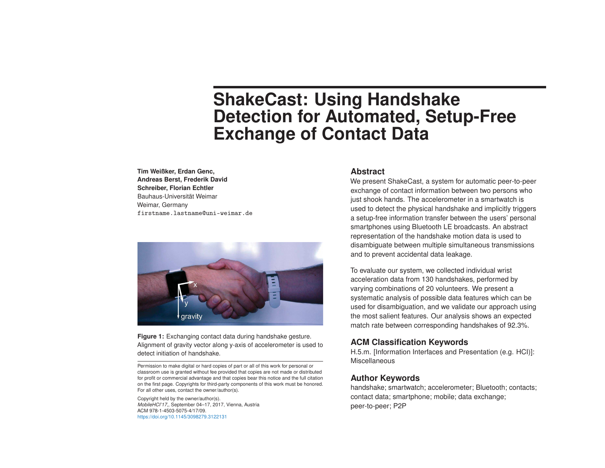# **ShakeCast: Using Handshake Detection for Automated, Setup-Free Exchange of Contact Data**

**Tim Weißker, Erdan Genc, Andreas Berst, Frederik David Schreiber, Florian Echtler** Bauhaus-Universität Weimar Weimar, Germany firstname.lastname@uni-weimar.de



**Figure 1:** Exchanging contact data during handshake gesture. Alignment of gravity vector along y-axis of accelerometer is used to detect initiation of handshake.

Permission to make digital or hard copies of part or all of this work for personal or classroom use is granted without fee provided that copies are not made or distributed for profit or commercial advantage and that copies bear this notice and the full citation on the first page. Copyrights for third-party components of this work must be honored. For all other uses, contact the owner/author(s).

Copyright held by the owner/author(s). *MobileHCI'17,*, September 04–17, 2017, Vienna, Austria ACM 978-1-4503-5075-4/17/09. https://doi.org/10.1145/3098279.3122131

## **Abstract**

We present ShakeCast, a system for automatic peer-to-peer exchange of contact information between two persons who just shook hands. The accelerometer in a smartwatch is used to detect the physical handshake and implicitly triggers a setup-free information transfer between the users' personal smartphones using Bluetooth LE broadcasts. An abstract representation of the handshake motion data is used to disambiguate between multiple simultaneous transmissions and to prevent accidental data leakage.

To evaluate our system, we collected individual wrist acceleration data from 130 handshakes, performed by varying combinations of 20 volunteers. We present a systematic analysis of possible data features which can be used for disambiguation, and we validate our approach using the most salient features. Our analysis shows an expected match rate between corresponding handshakes of 92.3%.

# **ACM Classification Keywords**

H.5.m. [Information Interfaces and Presentation (e.g. HCI)]: Miscellaneous

# **Author Keywords**

handshake; smartwatch; accelerometer; Bluetooth; contacts; contact data; smartphone; mobile; data exchange; peer-to-peer; P2P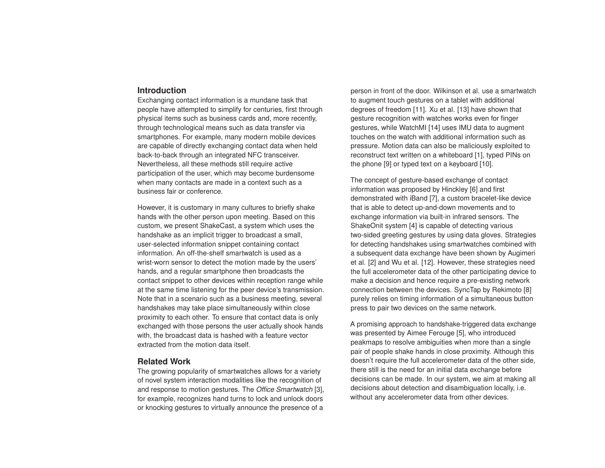# **Introduction**

Exchanging contact information is a mundane task that people have attempted to simplify for centuries, first through physical items such as business cards and, more recently, through technological means such as data transfer via smartphones. For example, many modern mobile devices are capable of directly exchanging contact data when held back-to-back through an integrated NFC transceiver. Nevertheless, all these methods still require active participation of the user, which may become burdensome when many contacts are made in a context such as a business fair or conference.

However, it is customary in many cultures to briefly shake hands with the other person upon meeting. Based on this custom, we present ShakeCast, a system which uses the handshake as an implicit trigger to broadcast a small, user-selected information snippet containing contact information. An off-the-shelf smartwatch is used as a wrist-worn sensor to detect the motion made by the users' hands, and a regular smartphone then broadcasts the contact snippet to other devices within reception range while at the same time listening for the peer device's transmission. Note that in a scenario such as a business meeting, several handshakes may take place simultaneously within close proximity to each other. To ensure that contact data is only exchanged with those persons the user actually shook hands with, the broadcast data is hashed with a feature vector extracted from the motion data itself.

## **Related Work**

The growing popularity of smartwatches allows for a variety of novel system interaction modalities like the recognition of and response to motion gestures. The *Office Smartwatch* [3], for example, recognizes hand turns to lock and unlock doors or knocking gestures to virtually announce the presence of a person in front of the door. Wilkinson et al. use a smartwatch to augment touch gestures on a tablet with additional degrees of freedom [11]. Xu et al. [13] have shown that gesture recognition with watches works even for finger gestures, while WatchMI [14] uses IMU data to augment touches on the watch with additional information such as pressure. Motion data can also be maliciously exploited to reconstruct text written on a whiteboard [1], typed PINs on the phone [9] or typed text on a keyboard [10].

The concept of gesture-based exchange of contact information was proposed by Hinckley [6] and first demonstrated with iBand [7], a custom bracelet-like device that is able to detect up-and-down movements and to exchange information via built-in infrared sensors. The ShakeOnit system [4] is capable of detecting various two-sided greeting gestures by using data gloves. Strategies for detecting handshakes using smartwatches combined with a subsequent data exchange have been shown by Augimeri et al. [2] and Wu et al. [12]. However, these strategies need the full accelerometer data of the other participating device to make a decision and hence require a pre-existing network connection between the devices. SyncTap by Rekimoto [8] purely relies on timing information of a simultaneous button press to pair two devices on the same network.

A promising approach to handshake-triggered data exchange was presented by Aimee Ferouge [5], who introduced peakmaps to resolve ambiguities when more than a single pair of people shake hands in close proximity. Although this doesn't require the full accelerometer data of the other side, there still is the need for an initial data exchange before decisions can be made. In our system, we aim at making all decisions about detection and disambiguation locally, i.e. without any accelerometer data from other devices.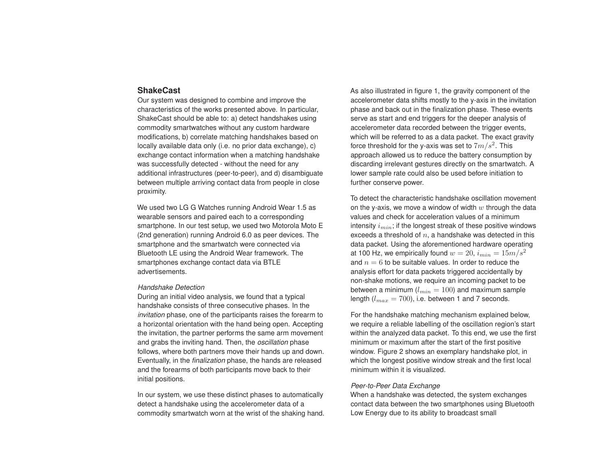# **ShakeCast**

Our system was designed to combine and improve the characteristics of the works presented above. In particular, ShakeCast should be able to: a) detect handshakes using commodity smartwatches without any custom hardware modifications, b) correlate matching handshakes based on locally available data only (i.e. no prior data exchange), c) exchange contact information when a matching handshake was successfully detected - without the need for any additional infrastructures (peer-to-peer), and d) disambiguate between multiple arriving contact data from people in close proximity.

We used two LG G Watches running Android Wear 1.5 as wearable sensors and paired each to a corresponding smartphone. In our test setup, we used two Motorola Moto E (2nd generation) running Android 6.0 as peer devices. The smartphone and the smartwatch were connected via Bluetooth LE using the Android Wear framework. The smartphones exchange contact data via BTLE advertisements.

#### *Handshake Detection*

During an initial video analysis, we found that a typical handshake consists of three consecutive phases. In the *invitation* phase, one of the participants raises the forearm to a horizontal orientation with the hand being open. Accepting the invitation, the partner performs the same arm movement and grabs the inviting hand. Then, the *oscillation* phase follows, where both partners move their hands up and down. Eventually, in the *finalization* phase, the hands are released and the forearms of both participants move back to their initial positions.

In our system, we use these distinct phases to automatically detect a handshake using the accelerometer data of a commodity smartwatch worn at the wrist of the shaking hand. As also illustrated in figure 1, the gravity component of the accelerometer data shifts mostly to the y-axis in the invitation phase and back out in the finalization phase. These events serve as start and end triggers for the deeper analysis of accelerometer data recorded between the trigger events, which will be referred to as a data packet. The exact gravity force threshold for the y-axis was set to  $7m/s^2.$  This approach allowed us to reduce the battery consumption by discarding irrelevant gestures directly on the smartwatch. A lower sample rate could also be used before initiation to further conserve power.

To detect the characteristic handshake oscillation movement on the y-axis, we move a window of width  $w$  through the data values and check for acceleration values of a minimum intensity  $i_{min}$ ; if the longest streak of these positive windows exceeds a threshold of  $n$ , a handshake was detected in this data packet. Using the aforementioned hardware operating at 100 Hz, we empirically found  $w = 20$ ,  $i_{min} = 15m/s^2$ and  $n = 6$  to be suitable values. In order to reduce the analysis effort for data packets triggered accidentally by non-shake motions, we require an incoming packet to be between a minimum ( $l_{min} = 100$ ) and maximum sample length  $(l_{max} = 700)$ , i.e. between 1 and 7 seconds.

For the handshake matching mechanism explained below, we require a reliable labelling of the oscillation region's start within the analyzed data packet. To this end, we use the first minimum or maximum after the start of the first positive window. Figure 2 shows an exemplary handshake plot, in which the longest positive window streak and the first local minimum within it is visualized.

#### *Peer-to-Peer Data Exchange*

When a handshake was detected, the system exchanges contact data between the two smartphones using Bluetooth Low Energy due to its ability to broadcast small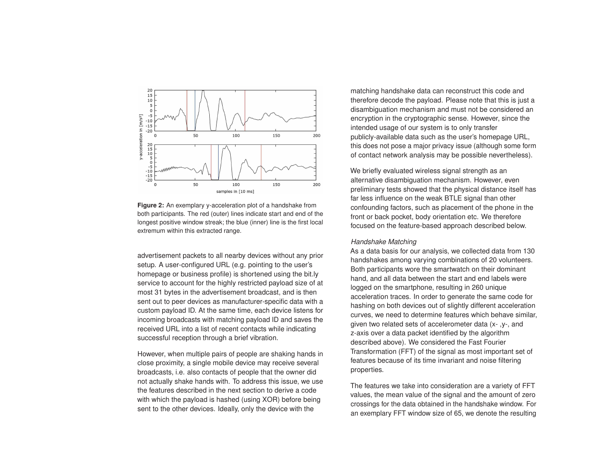

**Figure 2:** An exemplary y-acceleration plot of a handshake from both participants. The red (outer) lines indicate start and end of the longest positive window streak; the blue (inner) line is the first local extremum within this extracted range.

advertisement packets to all nearby devices without any prior setup. A user-configured URL (e.g. pointing to the user's homepage or business profile) is shortened using the bit.ly service to account for the highly restricted payload size of at most 31 bytes in the advertisement broadcast, and is then sent out to peer devices as manufacturer-specific data with a custom payload ID. At the same time, each device listens for incoming broadcasts with matching payload ID and saves the received URL into a list of recent contacts while indicating successful reception through a brief vibration.

However, when multiple pairs of people are shaking hands in close proximity, a single mobile device may receive several broadcasts, i.e. also contacts of people that the owner did not actually shake hands with. To address this issue, we use the features described in the next section to derive a code with which the payload is hashed (using XOR) before being sent to the other devices. Ideally, only the device with the

matching handshake data can reconstruct this code and therefore decode the payload. Please note that this is just a disambiguation mechanism and must not be considered an encryption in the cryptographic sense. However, since the intended usage of our system is to only transfer publicly-available data such as the user's homepage URL, this does not pose a major privacy issue (although some form of contact network analysis may be possible nevertheless).

We briefly evaluated wireless signal strength as an alternative disambiguation mechanism. However, even preliminary tests showed that the physical distance itself has far less influence on the weak BTLE signal than other confounding factors, such as placement of the phone in the front or back pocket, body orientation etc. We therefore focused on the feature-based approach described below.

#### *Handshake Matching*

As a data basis for our analysis, we collected data from 130 handshakes among varying combinations of 20 volunteers. Both participants wore the smartwatch on their dominant hand, and all data between the start and end labels were logged on the smartphone, resulting in 260 unique acceleration traces. In order to generate the same code for hashing on both devices out of slightly different acceleration curves, we need to determine features which behave similar, given two related sets of accelerometer data (x- ,y-, and z-axis over a data packet identified by the algorithm described above). We considered the Fast Fourier Transformation (FFT) of the signal as most important set of features because of its time invariant and noise filtering properties.

The features we take into consideration are a variety of FFT values, the mean value of the signal and the amount of zero crossings for the data obtained in the handshake window. For an exemplary FFT window size of 65, we denote the resulting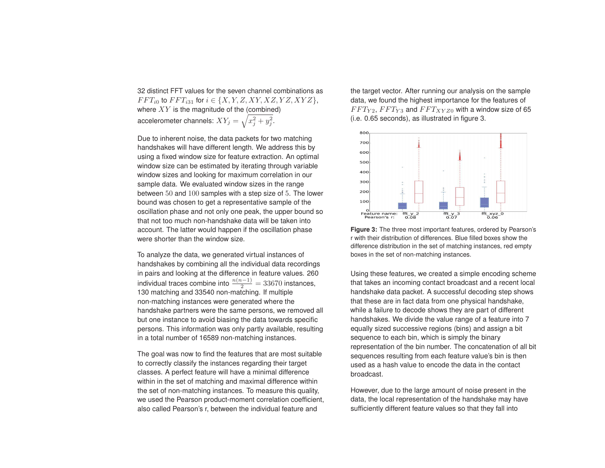32 distinct FFT values for the seven channel combinations as  $FFT_{i0}$  to  $FFT_{i31}$  for  $i \in \{X, Y, Z, XY, XZ, YZ, XYZ\}$ , where  $XY$  is the magnitude of the (combined) accelerometer channels:  $XY_j = \sqrt{x_j^2 + y_j^2}.$ 

Due to inherent noise, the data packets for two matching handshakes will have different length. We address this by using a fixed window size for feature extraction. An optimal window size can be estimated by iterating through variable window sizes and looking for maximum correlation in our sample data. We evaluated window sizes in the range between 50 and 100 samples with a step size of 5. The lower bound was chosen to get a representative sample of the oscillation phase and not only one peak, the upper bound so that not too much non-handshake data will be taken into account. The latter would happen if the oscillation phase were shorter than the window size.

To analyze the data, we generated virtual instances of handshakes by combining all the individual data recordings in pairs and looking at the difference in feature values. 260 individual traces combine into  $\frac{n(n-1)}{2} = 33670$  instances, 130 matching and 33540 non-matching. If multiple non-matching instances were generated where the handshake partners were the same persons, we removed all but one instance to avoid biasing the data towards specific persons. This information was only partly available, resulting in a total number of 16589 non-matching instances.

The goal was now to find the features that are most suitable to correctly classify the instances regarding their target classes. A perfect feature will have a minimal difference within in the set of matching and maximal difference within the set of non-matching instances. To measure this quality, we used the Pearson product-moment correlation coefficient, also called Pearson's r, between the individual feature and

the target vector. After running our analysis on the sample data, we found the highest importance for the features of  $FFT_{Y2}, FFT_{Y3}$  and  $FFT_{XYZ0}$  with a window size of 65 (i.e. 0.65 seconds), as illustrated in figure 3.



**Figure 3:** The three most important features, ordered by Pearson's r with their distribution of differences. Blue filled boxes show the difference distribution in the set of matching instances, red empty boxes in the set of non-matching instances.

Using these features, we created a simple encoding scheme that takes an incoming contact broadcast and a recent local handshake data packet. A successful decoding step shows that these are in fact data from one physical handshake, while a failure to decode shows they are part of different handshakes. We divide the value range of a feature into 7 equally sized successive regions (bins) and assign a bit sequence to each bin, which is simply the binary representation of the bin number. The concatenation of all bit sequences resulting from each feature value's bin is then used as a hash value to encode the data in the contact broadcast.

However, due to the large amount of noise present in the data, the local representation of the handshake may have sufficiently different feature values so that they fall into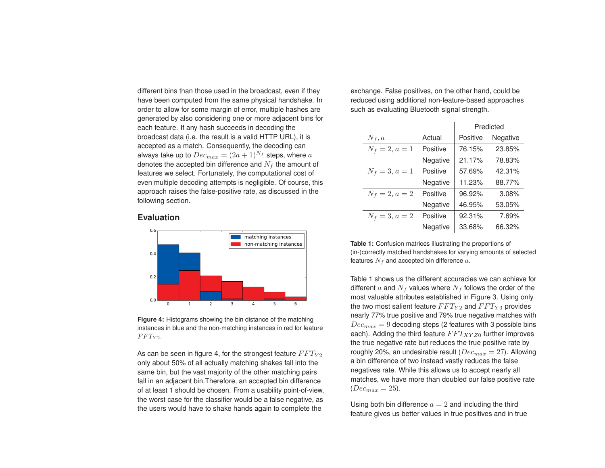different bins than those used in the broadcast, even if they have been computed from the same physical handshake. In order to allow for some margin of error, multiple hashes are generated by also considering one or more adjacent bins for each feature. If any hash succeeds in decoding the broadcast data (i.e. the result is a valid HTTP URL), it is accepted as a match. Consequently, the decoding can always take up to  $Dec_{max} = (2a+1)^{N_f}$  steps, where a denotes the accepted bin difference and  $N_f$  the amount of features we select. Fortunately, the computational cost of even multiple decoding attempts is negligible. Of course, this approach raises the false-positive rate, as discussed in the following section.

# **Evaluation**



**Figure 4:** Histograms showing the bin distance of the matching instances in blue and the non-matching instances in red for feature  $FFT_{Y2}$ .

As can be seen in figure 4, for the strongest feature  $FFT_{Y2}$ only about 50% of all actually matching shakes fall into the same bin, but the vast majority of the other matching pairs fall in an adjacent bin.Therefore, an accepted bin difference of at least 1 should be chosen. From a usability point-of-view, the worst case for the classifier would be a false negative, as the users would have to shake hands again to complete the

exchange. False positives, on the other hand, could be reduced using additional non-feature-based approaches such as evaluating Bluetooth signal strength.

|                  |          | Predicted |          |
|------------------|----------|-----------|----------|
| $N_f, a$         | Actual   | Positive  | Negative |
| $N_f = 2, a = 1$ | Positive | 76.15%    | 23.85%   |
|                  | Negative | 21.17%    | 78.83%   |
| $N_f = 3, a = 1$ | Positive | 57.69%    | 42.31%   |
|                  | Negative | 11.23%    | 88.77%   |
| $N_f = 2, a = 2$ | Positive | 96.92%    | 3.08%    |
|                  | Negative | 46.95%    | 53.05%   |
| $N_f = 3, a = 2$ | Positive | 92.31%    | 7.69%    |
|                  | Negative | 33.68%    | 66.32%   |

**Table 1:** Confusion matrices illustrating the proportions of (in-)correctly matched handshakes for varying amounts of selected features  $N_f$  and accepted bin difference  $a$ .

Table 1 shows us the different accuracies we can achieve for different a and  $N_f$  values where  $N_f$  follows the order of the most valuable attributes established in Figure 3. Using only the two most salient feature  $FFT_{Y2}$  and  $FFT_{Y3}$  provides nearly 77% true positive and 79% true negative matches with  $Dec_{max} = 9$  decoding steps (2 features with 3 possible bins each). Adding the third feature  $FFT_{XYZ0}$  further improves the true negative rate but reduces the true positive rate by roughly 20%, an undesirable result ( $Dec_{max} = 27$ ). Allowing a bin difference of two instead vastly reduces the false negatives rate. While this allows us to accept nearly all matches, we have more than doubled our false positive rate  $(Dec_{max} = 25).$ 

Using both bin difference  $a = 2$  and including the third feature gives us better values in true positives and in true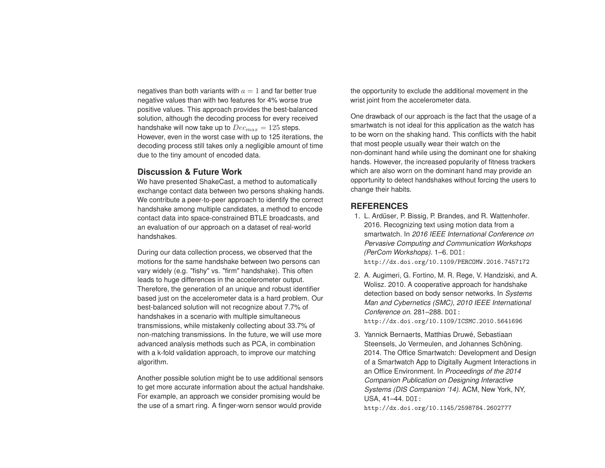negatives than both variants with  $a = 1$  and far better true negative values than with two features for 4% worse true positive values. This approach provides the best-balanced solution, although the decoding process for every received handshake will now take up to  $Dec_{max} = 125$  steps. However, even in the worst case with up to 125 iterations, the decoding process still takes only a negligible amount of time due to the tiny amount of encoded data.

# **Discussion & Future Work**

We have presented ShakeCast, a method to automatically exchange contact data between two persons shaking hands. We contribute a peer-to-peer approach to identify the correct handshake among multiple candidates, a method to encode contact data into space-constrained BTLE broadcasts, and an evaluation of our approach on a dataset of real-world handshakes.

During our data collection process, we observed that the motions for the same handshake between two persons can vary widely (e.g. "fishy" vs. "firm" handshake). This often leads to huge differences in the accelerometer output. Therefore, the generation of an unique and robust identifier based just on the accelerometer data is a hard problem. Our best-balanced solution will not recognize about 7.7% of handshakes in a scenario with multiple simultaneous transmissions, while mistakenly collecting about 33.7% of non-matching transmissions. In the future, we will use more advanced analysis methods such as PCA, in combination with a k-fold validation approach, to improve our matching algorithm.

Another possible solution might be to use additional sensors to get more accurate information about the actual handshake. For example, an approach we consider promising would be the use of a smart ring. A finger-worn sensor would provide

the opportunity to exclude the additional movement in the wrist joint from the accelerometer data.

One drawback of our approach is the fact that the usage of a smartwatch is not ideal for this application as the watch has to be worn on the shaking hand. This conflicts with the habit that most people usually wear their watch on the non-dominant hand while using the dominant one for shaking hands. However, the increased popularity of fitness trackers which are also worn on the dominant hand may provide an opportunity to detect handshakes without forcing the users to change their habits.

# **REFERENCES**

- 1. L. Ardüser, P. Bissig, P. Brandes, and R. Wattenhofer. 2016. Recognizing text using motion data from a smartwatch. In *2016 IEEE International Conference on Pervasive Computing and Communication Workshops (PerCom Workshops)*. 1–6. DOI: http://dx.doi.org/10.1109/PERCOMW.2016.7457172
- 2. A. Augimeri, G. Fortino, M. R. Rege, V. Handziski, and A. Wolisz. 2010. A cooperative approach for handshake detection based on body sensor networks. In *Systems Man and Cybernetics (SMC), 2010 IEEE International Conference on*. 281–288. DOI: http://dx.doi.org/10.1109/ICSMC.2010.5641696
- 3. Yannick Bernaerts, Matthias Druwé, Sebastiaan Steensels, Jo Vermeulen, and Johannes Schöning. 2014. The Office Smartwatch: Development and Design of a Smartwatch App to Digitally Augment Interactions in an Office Environment. In *Proceedings of the 2014 Companion Publication on Designing Interactive Systems (DIS Companion '14)*. ACM, New York, NY, USA, 41–44. DOI:

http://dx.doi.org/10.1145/2598784.2602777